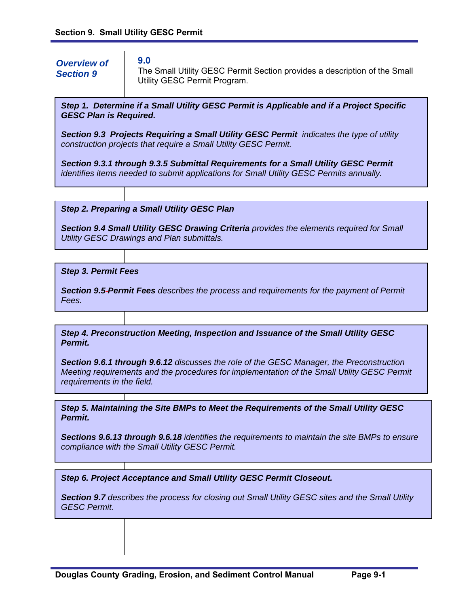# *Overview of Section 9*

**9.0** 

The Small Utility GESC Permit Section provides a description of the Small Utility GESC Permit Program.

*Step 1. Determine if a Small Utility GESC Permit is Applicable and if a Project Specific GESC Plan is Required.* 

*Section 9.3 Projects Requiring a Small Utility GESC Permit indicates the type of utility construction projects that require a Small Utility GESC Permit.* 

*Section 9.3.1 through 9.3.5 Submittal Requirements for a Small Utility GESC Permit identifies items needed to submit applications for Small Utility GESC Permits annually.* 

*Step 2. Preparing a Small Utility GESC Plan* 

*Section 9.4 Small Utility GESC Drawing Criteria provides the elements required for Small Utility GESC Drawings and Plan submittals.* 

*Step 3. Permit Fees* 

*Section 9.5 Permit Fees describes the process and requirements for the payment of Permit Fees.* 

*Step 4. Preconstruction Meeting, Inspection and Issuance of the Small Utility GESC Permit.* 

*Section 9.6.1 through 9.6.12 discusses the role of the GESC Manager, the Preconstruction Meeting requirements and the procedures for implementation of the Small Utility GESC Permit requirements in the field.* 

*Step 5. Maintaining the Site BMPs to Meet the Requirements of the Small Utility GESC Permit.* 

*Sections 9.6.13 through 9.6.18 identifies the requirements to maintain the site BMPs to ensure compliance with the Small Utility GESC Permit.* 

*Step 6. Project Acceptance and Small Utility GESC Permit Closeout.* 

*Section 9.7 describes the process for closing out Small Utility GESC sites and the Small Utility GESC Permit.*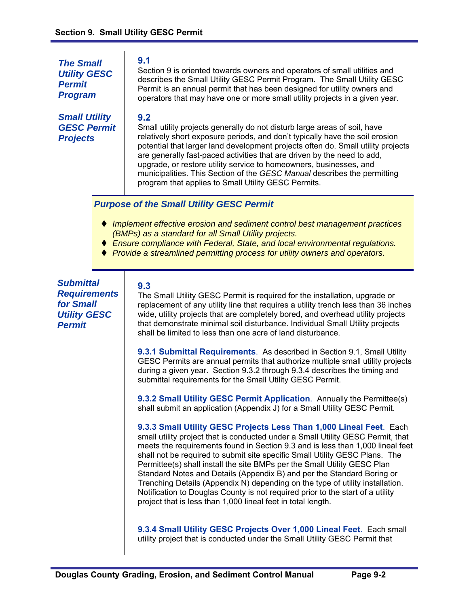*The Small Utility GESC Permit Program* 

*Small Utility GESC Permit Projects* 

## **9.1**

Section 9 is oriented towards owners and operators of small utilities and describes the Small Utility GESC Permit Program. The Small Utility GESC Permit is an annual permit that has been designed for utility owners and operators that may have one or more small utility projects in a given year.

## **9.2**

Small utility projects generally do not disturb large areas of soil, have relatively short exposure periods, and don't typically have the soil erosion potential that larger land development projects often do. Small utility projects are generally fast-paced activities that are driven by the need to add, upgrade, or restore utility service to homeowners, businesses, and municipalities. This Section of the *GESC Manual* describes the permitting program that applies to Small Utility GESC Permits.

# *Purpose of the Small Utility GESC Permit*

- *Implement effective erosion and sediment control best management practices (BMPs) as a standard for all Small Utility projects.*
- *Ensure compliance with Federal, State, and local environmental regulations.*
- *Provide a streamlined permitting process for utility owners and operators.*

*Submittal Requirements for Small Utility GESC Permit* 

# **9.3**

The Small Utility GESC Permit is required for the installation, upgrade or replacement of any utility line that requires a utility trench less than 36 inches wide, utility projects that are completely bored, and overhead utility projects that demonstrate minimal soil disturbance. Individual Small Utility projects shall be limited to less than one acre of land disturbance.

**9.3.1 Submittal Requirements**. As described in Section 9.1, Small Utility GESC Permits are annual permits that authorize multiple small utility projects during a given year. Section 9.3.2 through 9.3.4 describes the timing and submittal requirements for the Small Utility GESC Permit.

**9.3.2 Small Utility GESC Permit Application**. Annually the Permittee(s) shall submit an application (Appendix J) for a Small Utility GESC Permit.

**9.3.3 Small Utility GESC Projects Less Than 1,000 Lineal Feet**. Each small utility project that is conducted under a Small Utility GESC Permit, that meets the requirements found in Section 9.3 and is less than 1,000 lineal feet shall not be required to submit site specific Small Utility GESC Plans. The Permittee(s) shall install the site BMPs per the Small Utility GESC Plan Standard Notes and Details (Appendix B) and per the Standard Boring or Trenching Details (Appendix N) depending on the type of utility installation. Notification to Douglas County is not required prior to the start of a utility project that is less than 1,000 lineal feet in total length.

**9.3.4 Small Utility GESC Projects Over 1,000 Lineal Feet**.Each small utility project that is conducted under the Small Utility GESC Permit that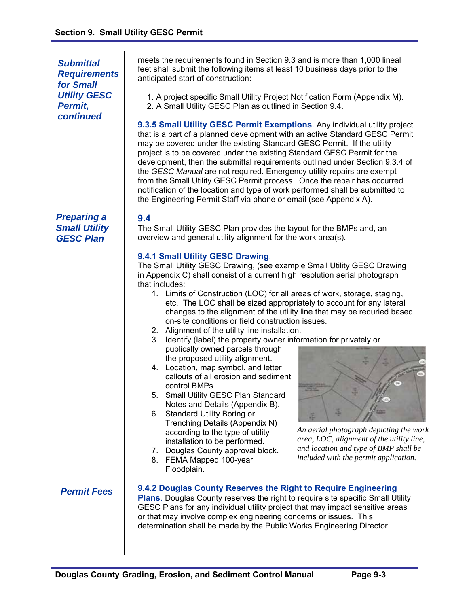*Submittal Requirements for Small Utility GESC Permit, continued* 

*Preparing a Small Utility GESC Plan* 

meets the requirements found in Section 9.3 and is more than 1,000 lineal feet shall submit the following items at least 10 business days prior to the anticipated start of construction:

1. A project specific Small Utility Project Notification Form (Appendix M). 2. A Small Utility GESC Plan as outlined in Section 9.4.

**9.3.5 Small Utility GESC Permit Exemptions**. Any individual utility project that is a part of a planned development with an active Standard GESC Permit may be covered under the existing Standard GESC Permit. If the utility project is to be covered under the existing Standard GESC Permit for the development, then the submittal requirements outlined under Section 9.3.4 of the *GESC Manual* are not required. Emergency utility repairs are exempt from the Small Utility GESC Permit process. Once the repair has occurred notification of the location and type of work performed shall be submitted to the Engineering Permit Staff via phone or email (see Appendix A).

## **9.4**

The Small Utility GESC Plan provides the layout for the BMPs and, an overview and general utility alignment for the work area(s).

## **9.4.1 Small Utility GESC Drawing**.

The Small Utility GESC Drawing, (see example Small Utility GESC Drawing in Appendix C) shall consist of a current high resolution aerial photograph that includes:

- 1. Limits of Construction (LOC) for all areas of work, storage, staging, etc. The LOC shall be sized appropriately to account for any lateral changes to the alignment of the utility line that may be requried based on-site conditions or field construction issues.
- 2. Alignment of the utility line installation.
- 3. Identify (label) the property owner information for privately or publically owned parcels through the proposed utility alignment.
- 4. Location, map symbol, and letter callouts of all erosion and sediment control BMPs.
- 5. Small Utility GESC Plan Standard Notes and Details (Appendix B).
- 6. Standard Utility Boring or Trenching Details (Appendix N) according to the type of utility installation to be performed.
- 7. Douglas County approval block.
- 8. FEMA Mapped 100-year Floodplain.



*An aerial photograph depicting the work area, LOC, alignment of the utility line, and location and type of BMP shall be included with the permit application.* 

# *Permit Fees*

#### **9.4.2 Douglas County Reserves the Right to Require Engineering**

**Plans**. Douglas County reserves the right to require site specific Small Utility GESC Plans for any individual utility project that may impact sensitive areas or that may involve complex engineering concerns or issues. This determination shall be made by the Public Works Engineering Director.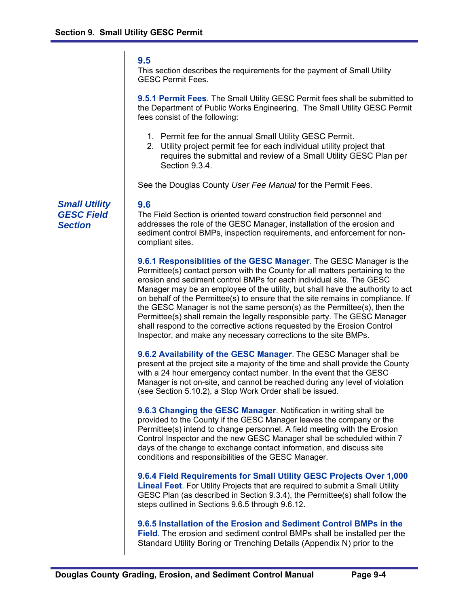#### **9.5**

This section describes the requirements for the payment of Small Utility GESC Permit Fees.

**9.5.1 Permit Fees**. The Small Utility GESC Permit fees shall be submitted to the Department of Public Works Engineering. The Small Utility GESC Permit fees consist of the following:

- 1. Permit fee for the annual Small Utility GESC Permit.
- 2. Utility project permit fee for each individual utility project that requires the submittal and review of a Small Utility GESC Plan per Section 9.3.4.

See the Douglas County *User Fee Manual* for the Permit Fees.

### **9.6**

The Field Section is oriented toward construction field personnel and addresses the role of the GESC Manager, installation of the erosion and sediment control BMPs, inspection requirements, and enforcement for noncompliant sites.

**9.6.1 Responsiblities of the GESC Manager**. The GESC Manager is the Permittee(s) contact person with the County for all matters pertaining to the erosion and sediment control BMPs for each individual site. The GESC Manager may be an employee of the utility, but shall have the authority to act on behalf of the Permittee(s) to ensure that the site remains in compliance. If the GESC Manager is not the same person(s) as the Permittee(s), then the Permittee(s) shall remain the legally responsible party. The GESC Manager shall respond to the corrective actions requested by the Erosion Control Inspector, and make any necessary corrections to the site BMPs.

**9.6.2 Availability of the GESC Manager**. The GESC Manager shall be present at the project site a majority of the time and shall provide the County with a 24 hour emergency contact number. In the event that the GESC Manager is not on-site, and cannot be reached during any level of violation (see Section 5.10.2), a Stop Work Order shall be issued.

**9.6.3 Changing the GESC Manager**. Notification in writing shall be provided to the County if the GESC Manager leaves the company or the Permittee(s) intend to change personnel. A field meeting with the Erosion Control Inspector and the new GESC Manager shall be scheduled within 7 days of the change to exchange contact information, and discuss site conditions and responsibilities of the GESC Manager.

**9.6.4 Field Requirements for Small Utility GESC Projects Over 1,000 Lineal Feet**. For Utility Projects that are required to submit a Small Utility GESC Plan (as described in Section 9.3.4), the Permittee(s) shall follow the steps outlined in Sections 9.6.5 through 9.6.12.

**9.6.5 Installation of the Erosion and Sediment Control BMPs in the Field**. The erosion and sediment control BMPs shall be installed per the Standard Utility Boring or Trenching Details (Appendix N) prior to the

*Small Utility GESC Field Section*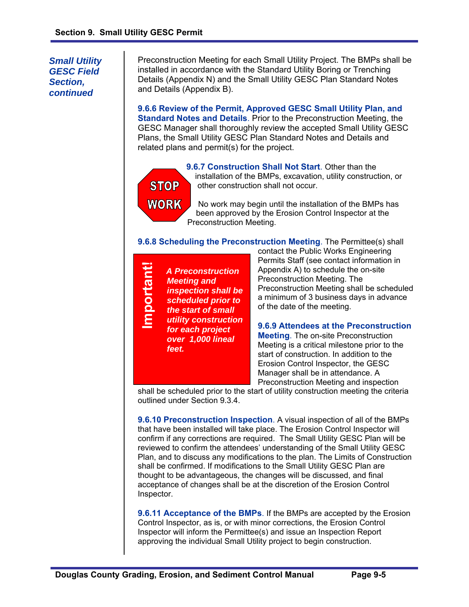*Small Utility GESC Field Section, continued* 

Preconstruction Meeting for each Small Utility Project. The BMPs shall be installed in accordance with the Standard Utility Boring or Trenching Details (Appendix N) and the Small Utility GESC Plan Standard Notes and Details (Appendix B).

**9.6.6 Review of the Permit, Approved GESC Small Utility Plan, and Standard Notes and Details**. Prior to the Preconstruction Meeting, the GESC Manager shall thoroughly review the accepted Small Utility GESC Plans, the Small Utility GESC Plan Standard Notes and Details and related plans and permit(s) for the project.



**9.6.7 Construction Shall Not Start**. Other than the installation of the BMPs, excavation, utility construction, or other construction shall not occur.

No work may begin until the installation of the BMPs has been approved by the Erosion Control Inspector at the Preconstruction Meeting.

**9.6.8 Scheduling the Preconstruction Meeting**. The Permittee(s) shall

| for each project<br>over 1,000 lineal<br>feet. | ⊆<br>e<br>T<br>$\mathbf O$<br><u>റ</u><br>ε | <b>A Preconstruction</b><br><b>Meeting and</b><br>inspection shall be<br>scheduled prior to<br>the start of small<br>utility construction |
|------------------------------------------------|---------------------------------------------|-------------------------------------------------------------------------------------------------------------------------------------------|
|------------------------------------------------|---------------------------------------------|-------------------------------------------------------------------------------------------------------------------------------------------|

contact the Public Works Engineering Permits Staff (see contact information in Appendix A) to schedule the on-site Preconstruction Meeting. The Preconstruction Meeting shall be scheduled a minimum of 3 business days in advance of the date of the meeting.

**9.6.9 Attendees at the Preconstruction Meeting**. The on-site Preconstruction Meeting is a critical milestone prior to the start of construction. In addition to the Erosion Control Inspector, the GESC Manager shall be in attendance. A Preconstruction Meeting and inspection

shall be scheduled prior to the start of utility construction meeting the criteria outlined under Section 9.3.4.

**9.6.10 Preconstruction Inspection**. A visual inspection of all of the BMPs that have been installed will take place. The Erosion Control Inspector will confirm if any corrections are required. The Small Utility GESC Plan will be reviewed to confirm the attendees' understanding of the Small Utility GESC Plan, and to discuss any modifications to the plan. The Limits of Construction shall be confirmed. If modifications to the Small Utility GESC Plan are thought to be advantageous, the changes will be discussed, and final acceptance of changes shall be at the discretion of the Erosion Control Inspector.

**9.6.11 Acceptance of the BMPs**. If the BMPs are accepted by the Erosion Control Inspector, as is, or with minor corrections, the Erosion Control Inspector will inform the Permittee(s) and issue an Inspection Report approving the individual Small Utility project to begin construction.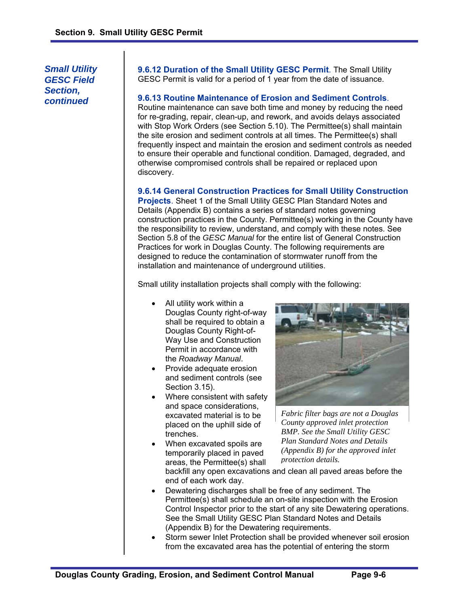*Small Utility GESC Field Section, continued* 

**9.6.12 Duration of the Small Utility GESC Permit**. The Small Utility GESC Permit is valid for a period of 1 year from the date of issuance.

#### **9.6.13 Routine Maintenance of Erosion and Sediment Controls**.

Routine maintenance can save both time and money by reducing the need for re-grading, repair, clean-up, and rework, and avoids delays associated with Stop Work Orders (see Section 5.10). The Permittee(s) shall maintain the site erosion and sediment controls at all times. The Permittee(s) shall frequently inspect and maintain the erosion and sediment controls as needed to ensure their operable and functional condition. Damaged, degraded, and otherwise compromised controls shall be repaired or replaced upon discovery.

#### **9.6.14 General Construction Practices for Small Utility Construction**

**Projects**. Sheet 1 of the Small Utility GESC Plan Standard Notes and Details (Appendix B) contains a series of standard notes governing construction practices in the County. Permittee(s) working in the County have the responsibility to review, understand, and comply with these notes. See Section 5.8 of the *GESC Manual* for the entire list of General Construction Practices for work in Douglas County. The following requirements are designed to reduce the contamination of stormwater runoff from the installation and maintenance of underground utilities.

Small utility installation projects shall comply with the following:

- All utility work within a Douglas County right-of-way shall be required to obtain a Douglas County Right-of-Way Use and Construction Permit in accordance with the *Roadway Manual*.
- Provide adequate erosion and sediment controls (see Section 3.15).
- Where consistent with safety and space considerations, excavated material is to be placed on the uphill side of trenches.
- When excavated spoils are temporarily placed in paved areas, the Permittee(s) shall



*Fabric filter bags are not a Douglas County approved inlet protection BMP. See the Small Utility GESC Plan Standard Notes and Details (Appendix B) for the approved inlet protection details.* 

backfill any open excavations and clean all paved areas before the end of each work day.

- Dewatering discharges shall be free of any sediment. The Permittee(s) shall schedule an on-site inspection with the Erosion Control Inspector prior to the start of any site Dewatering operations. See the Small Utility GESC Plan Standard Notes and Details (Appendix B) for the Dewatering requirements.
- Storm sewer Inlet Protection shall be provided whenever soil erosion from the excavated area has the potential of entering the storm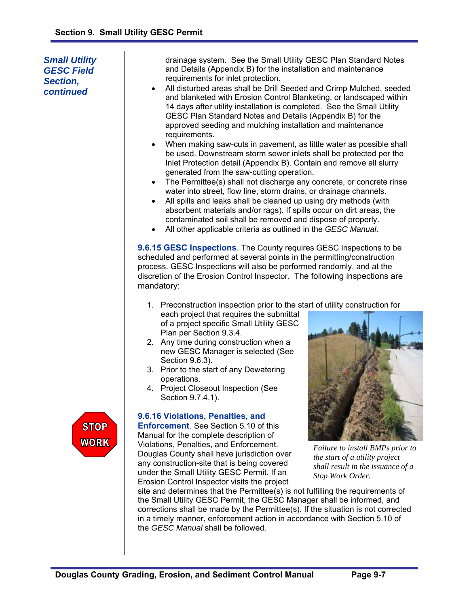*Section, continued* 

drainage system. See the Small Utility GESC Plan Standard Notes and Details (Appendix B) for the installation and maintenance requirements for inlet protection. All disturbed areas shall be Drill Seeded and Crimp Mulched, seeded and blanketed with Erosion Control Blanketing, or landscaped within 14 days after utility installation is completed. See the Small Utility GESC Plan Standard Notes and Details (Appendix B) for the approved seeding and mulching installation and maintenance requirements. When making saw-cuts in pavement, as little water as possible shall be used. Downstream storm sewer inlets shall be protected per the Inlet Protection detail (Appendix B). Contain and remove all slurry generated from the saw-cutting operation. • The Permittee(s) shall not discharge any concrete, or concrete rinse water into street, flow line, storm drains, or drainage channels. All spills and leaks shall be cleaned up using dry methods (with absorbent materials and/or rags). If spills occur on dirt areas, the contaminated soil shall be removed and dispose of properly. All other applicable criteria as outlined in the *GESC Manual*. **9.6.15 GESC Inspections**. The County requires GESC inspections to be *Small Utility GESC Field* 

scheduled and performed at several points in the permitting/construction process. GESC Inspections will also be performed randomly, and at the discretion of the Erosion Control Inspector. The following inspections are mandatory:

- 1. Preconstruction inspection prior to the start of utility construction for each project that requires the submittal of a project specific Small Utility GESC Plan per Section 9.3.4.
- 2. Any time during construction when a new GESC Manager is selected (See Section 9.6.3).
- 3. Prior to the start of any Dewatering operations.
- 4. Project Closeout Inspection (See Section 9.7.4.1).

# **9.6.16 Violations, Penalties, and**

**Enforcement**. See Section 5.10 of this Manual for the complete description of Violations, Penalties, and Enforcement. Douglas County shall have jurisdiction over any construction-site that is being covered under the Small Utility GESC Permit. If an Erosion Control Inspector visits the project



*Failure to install BMPs prior to the start of a utility project shall result in the issuance of a Stop Work Order.* 

site and determines that the Permittee(s) is not fulfilling the requirements of the Small Utility GESC Permit, the GESC Manager shall be informed, and corrections shall be made by the Permittee(s). If the situation is not corrected in a timely manner, enforcement action in accordance with Section 5.10 of the *GESC Manual* shall be followed.